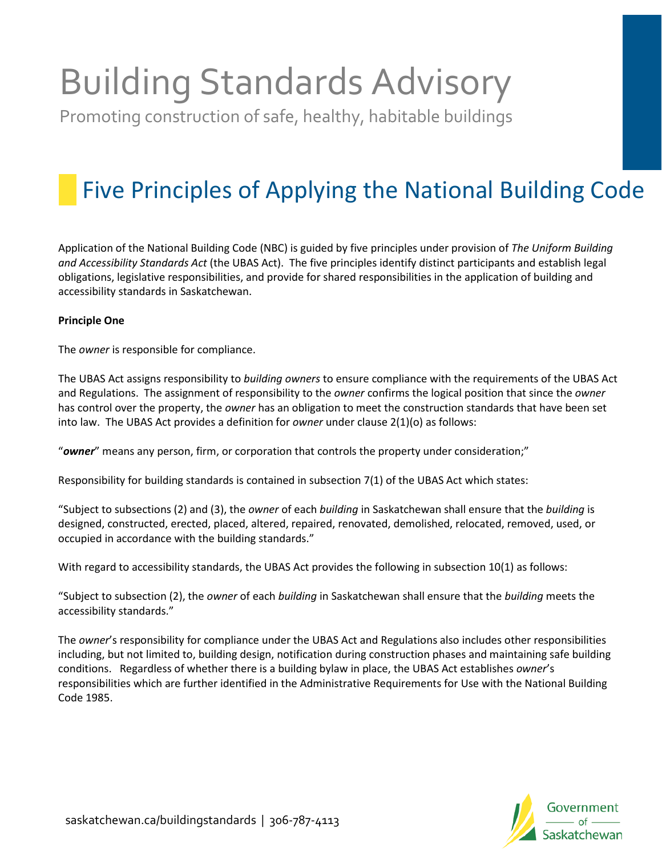# Building Standards Advisory

Promoting construction of safe, healthy, habitable buildings

# Five Principles of Applying the National Building Code

Application of the National Building Code (NBC) is guided by five principles under provision of *The Uniform Building and Accessibility Standards Act* (the UBAS Act). The five principles identify distinct participants and establish legal obligations, legislative responsibilities, and provide for shared responsibilities in the application of building and accessibility standards in Saskatchewan.

## **Principle One**

The *owner* is responsible for compliance.

The UBAS Act assigns responsibility to *building owners* to ensure compliance with the requirements of the UBAS Act and Regulations. The assignment of responsibility to the *owner* confirms the logical position that since the *owner* has control over the property, the *owner* has an obligation to meet the construction standards that have been set into law. The UBAS Act provides a definition for *owner* under clause 2(1)(o) as follows:

"*owner*" means any person, firm, or corporation that controls the property under consideration;"

Responsibility for building standards is contained in subsection 7(1) of the UBAS Act which states:

"Subject to subsections (2) and (3), the *owner* of each *building* in Saskatchewan shall ensure that the *building* is designed, constructed, erected, placed, altered, repaired, renovated, demolished, relocated, removed, used, or occupied in accordance with the building standards."

With regard to accessibility standards, the UBAS Act provides the following in subsection 10(1) as follows:

"Subject to subsection (2), the *owner* of each *building* in Saskatchewan shall ensure that the *building* meets the accessibility standards."

The *owner*'s responsibility for compliance under the UBAS Act and Regulations also includes other responsibilities including, but not limited to, building design, notification during construction phases and maintaining safe building conditions. Regardless of whether there is a building bylaw in place, the UBAS Act establishes *owner*'s responsibilities which are further identified in the Administrative Requirements for Use with the National Building Code 1985.

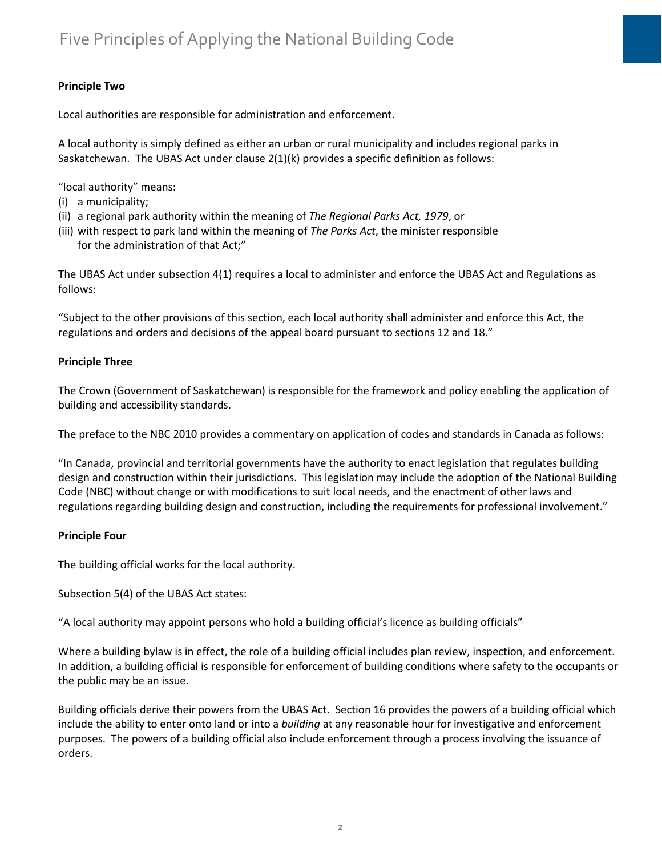# **Principle Two**

Local authorities are responsible for administration and enforcement.

A local authority is simply defined as either an urban or rural municipality and includes regional parks in Saskatchewan. The UBAS Act under clause 2(1)(k) provides a specific definition as follows:

"local authority" means:

- (i) a municipality;
- (ii) a regional park authority within the meaning of *The Regional Parks Act, 1979*, or
- (iii) with respect to park land within the meaning of *The Parks Act*, the minister responsible for the administration of that Act;"

The UBAS Act under subsection 4(1) requires a local to administer and enforce the UBAS Act and Regulations as follows:

"Subject to the other provisions of this section, each local authority shall administer and enforce this Act, the regulations and orders and decisions of the appeal board pursuant to sections 12 and 18."

### **Principle Three**

The Crown (Government of Saskatchewan) is responsible for the framework and policy enabling the application of building and accessibility standards.

The preface to the NBC 2010 provides a commentary on application of codes and standards in Canada as follows:

"In Canada, provincial and territorial governments have the authority to enact legislation that regulates building design and construction within their jurisdictions. This legislation may include the adoption of the National Building Code (NBC) without change or with modifications to suit local needs, and the enactment of other laws and regulations regarding building design and construction, including the requirements for professional involvement."

### **Principle Four**

The building official works for the local authority.

Subsection 5(4) of the UBAS Act states:

"A local authority may appoint persons who hold a building official's licence as building officials"

Where a building bylaw is in effect, the role of a building official includes plan review, inspection, and enforcement. In addition, a building official is responsible for enforcement of building conditions where safety to the occupants or the public may be an issue.

Building officials derive their powers from the UBAS Act. Section 16 provides the powers of a building official which include the ability to enter onto land or into a *building* at any reasonable hour for investigative and enforcement purposes. The powers of a building official also include enforcement through a process involving the issuance of orders.